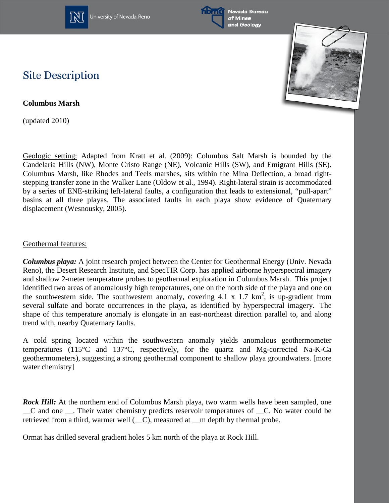

University of Nevada, Reno





## **Site Description**

**Columbus Marsh**

(updated 2010)

Geologic setting: Adapted from Kratt et al. (2009): Columbus Salt Marsh is bounded by the Candelaria Hills (NW), Monte Cristo Range (NE), Volcanic Hills (SW), and Emigrant Hills (SE). Columbus Marsh, like Rhodes and Teels marshes, sits within the Mina Deflection, a broad rightstepping transfer zone in the Walker Lane (Oldow et al., 1994). Right-lateral strain is accommodated by a series of ENE-striking left-lateral faults, a configuration that leads to extensional, "pull-apart" basins at all three playas. The associated faults in each playa show evidence of Quaternary displacement (Wesnousky, 2005).

## Geothermal features:

*Columbus playa:* A joint research project between the Center for Geothermal Energy (Univ. Nevada Reno), the Desert Research Institute, and SpecTIR Corp. has applied airborne hyperspectral imagery and shallow 2-meter temperature probes to geothermal exploration in Columbus Marsh. This project identified two areas of anomalously high temperatures, one on the north side of the playa and one on the southwestern side. The southwestern anomaly, covering  $4.1 \times 1.7 \text{ km}^2$ , is up-gradient from several sulfate and borate occurrences in the playa, as identified by hyperspectral imagery. The shape of this temperature anomaly is elongate in an east-northeast direction parallel to, and along trend with, nearby Quaternary faults.

A cold spring located within the southwestern anomaly yields anomalous geothermometer temperatures (115°C and 137°C, respectively, for the quartz and Mg-corrected Na-K-Ca geothermometers), suggesting a strong geothermal component to shallow playa groundwaters. [more water chemistry]

*Rock Hill:* At the northern end of Columbus Marsh playa, two warm wells have been sampled, one \_\_C and one \_\_. Their water chemistry predicts reservoir temperatures of \_\_C. No water could be retrieved from a third, warmer well ( $_C$ ), measured at  $C$  m depth by thermal probe.

Ormat has drilled several gradient holes 5 km north of the playa at Rock Hill.